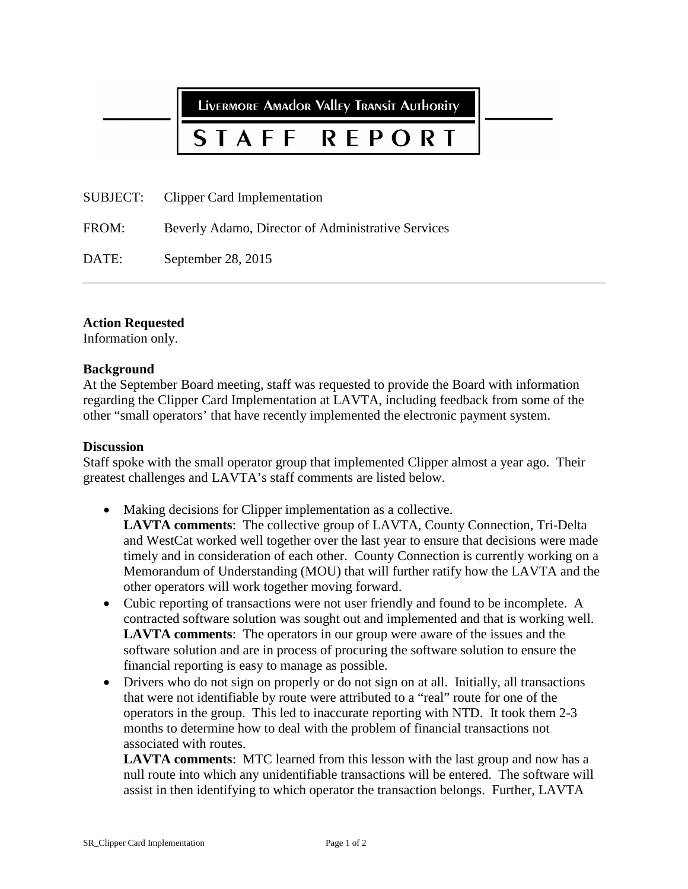LIVERMORE AMAdOR VAllEY TRANSIT AUTHORITY

# STAFF **REPORT**

SUBJECT: Clipper Card Implementation

FROM: Beverly Adamo, Director of Administrative Services

DATE: September 28, 2015

# **Action Requested**

Information only.

# **Background**

At the September Board meeting, staff was requested to provide the Board with information regarding the Clipper Card Implementation at LAVTA, including feedback from some of the other "small operators' that have recently implemented the electronic payment system.

### **Discussion**

Staff spoke with the small operator group that implemented Clipper almost a year ago. Their greatest challenges and LAVTA's staff comments are listed below.

- Making decisions for Clipper implementation as a collective. **LAVTA comments**: The collective group of LAVTA, County Connection, Tri-Delta and WestCat worked well together over the last year to ensure that decisions were made timely and in consideration of each other. County Connection is currently working on a Memorandum of Understanding (MOU) that will further ratify how the LAVTA and the other operators will work together moving forward.
- Cubic reporting of transactions were not user friendly and found to be incomplete. A contracted software solution was sought out and implemented and that is working well. **LAVTA comments**: The operators in our group were aware of the issues and the software solution and are in process of procuring the software solution to ensure the financial reporting is easy to manage as possible.
- Drivers who do not sign on properly or do not sign on at all. Initially, all transactions that were not identifiable by route were attributed to a "real" route for one of the operators in the group. This led to inaccurate reporting with NTD. It took them 2-3 months to determine how to deal with the problem of financial transactions not associated with routes.

**LAVTA comments**: MTC learned from this lesson with the last group and now has a null route into which any unidentifiable transactions will be entered. The software will assist in then identifying to which operator the transaction belongs. Further, LAVTA